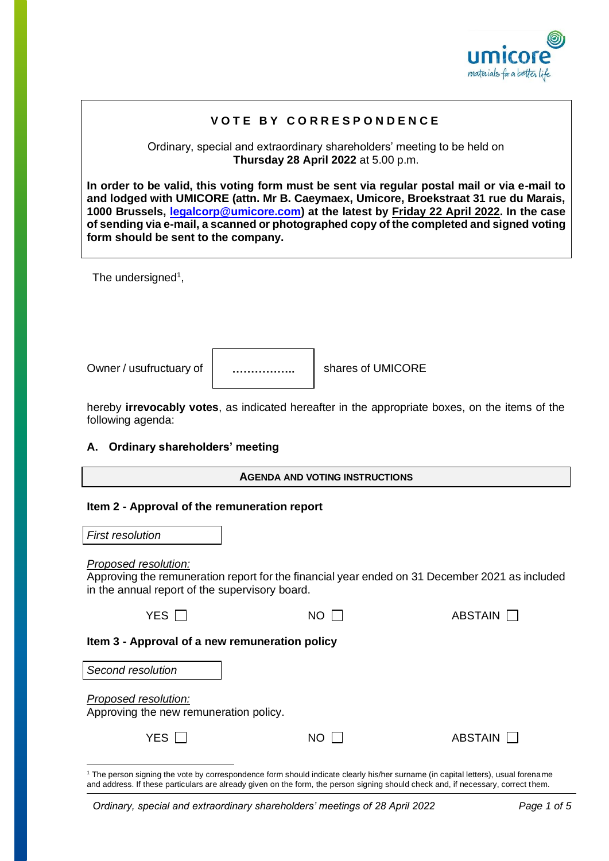

# **V O T E B Y C O R R E S P O N D E N C E**

Ordinary, special and extraordinary shareholders' meeting to be held on **Thursday 28 April 2022** at 5.00 p.m.

**In order to be valid, this voting form must be sent via regular postal mail or via e-mail to and lodged with UMICORE (attn. Mr B. Caeymaex, Umicore, Broekstraat 31 rue du Marais, 1000 Brussels, [legalcorp@umicore.com\)](mailto:legalcorp@umicore.com) at the latest by Friday 22 April 2022. In the case of sending via e-mail, a scanned or photographed copy of the completed and signed voting form should be sent to the company.** 

The undersigned<sup>1</sup>,

Owner / usufructuary of  $\parallel$  .....................  $\parallel$  shares of UMICORE

**……………..**

hereby **irrevocably votes**, as indicated hereafter in the appropriate boxes, on the items of the following agenda:

# **A. Ordinary shareholders' meeting**

# **Item 2 - Approval of the remuneration report**

| <b>First resolution</b> |  |
|-------------------------|--|
|-------------------------|--|

# *Proposed resolution:*

Approving the remuneration report for the financial year ended on 31 December 2021 as included in the annual report of the supervisory board.

| YES | NO | <b>ABSTAIN</b> |
|-----|----|----------------|
|     |    |                |

# **Item 3 - Approval of a new remuneration policy**

| Second resolution                                              |     |         |
|----------------------------------------------------------------|-----|---------|
| Proposed resolution:<br>Approving the new remuneration policy. |     |         |
| YES $\Box$                                                     | NO. | ABSTAIN |

<sup>&</sup>lt;sup>1</sup> The person signing the vote by correspondence form should indicate clearly his/her surname (in capital letters), usual forename and address. If these particulars are already given on the form, the person signing should check and, if necessary, correct them.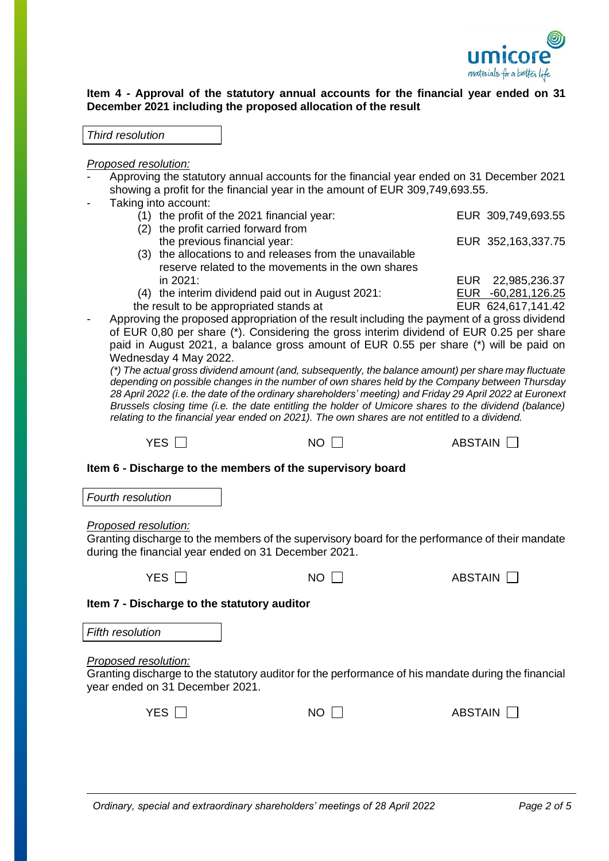

# **Item 4 - Approval of the statutory annual accounts for the financial year ended on 31 December 2021 including the proposed allocation of the result**

## *Proposed resolution:*

- Approving the statutory annual accounts for the financial year ended on 31 December 2021 showing a profit for the financial year in the amount of EUR 309,749,693.55.
- Taking into account:
	- (1) the profit of the 2021 financial year: EUR 309,749,693.55
	- (2) the profit carried forward from
	- the previous financial year: EUR 352,163,337.75 (3) the allocations to and releases from the unavailable reserve related to the movements in the own shares in 2021: EUR 22,985,236.37
	- (4) the interim dividend paid out in August 2021: EUR -60,281,126.25
	- the result to be appropriated stands at EUR 624,617,141.42
- Approving the proposed appropriation of the result including the payment of a gross dividend of EUR 0,80 per share (\*). Considering the gross interim dividend of EUR 0.25 per share paid in August 2021, a balance gross amount of EUR 0.55 per share (\*) will be paid on Wednesday 4 May 2022.

*(\*) The actual gross dividend amount (and, subsequently, the balance amount) per share may fluctuate depending on possible changes in the number of own shares held by the Company between Thursday 28 April 2022 (i.e. the date of the ordinary shareholders' meeting) and Friday 29 April 2022 at Euronext Brussels closing time (i.e. the date entitling the holder of Umicore shares to the dividend (balance) relating to the financial year ended on 2021). The own shares are not entitled to a dividend.*

 $YES \ \Box$  NO  $\Pi$  ABSTAIN  $\Pi$ 

| Item 6 - Discharge to the members of the supervisory board |  |  |
|------------------------------------------------------------|--|--|
|                                                            |  |  |

*Fourth resolution*

*Proposed resolution:*

Granting discharge to the members of the supervisory board for the performance of their mandate during the financial year ended on 31 December 2021.

 $YES \t{1}$  NO  $1$  ABSTAIN

**Item 7 - Discharge to the statutory auditor**

*Fifth resolution*

*Proposed resolution:*

Granting discharge to the statutory auditor for the performance of his mandate during the financial year ended on 31 December 2021.

| YES $\Box$ | $NO$ $\Box$ | ABSTAIN $\Box$ |
|------------|-------------|----------------|
|            |             |                |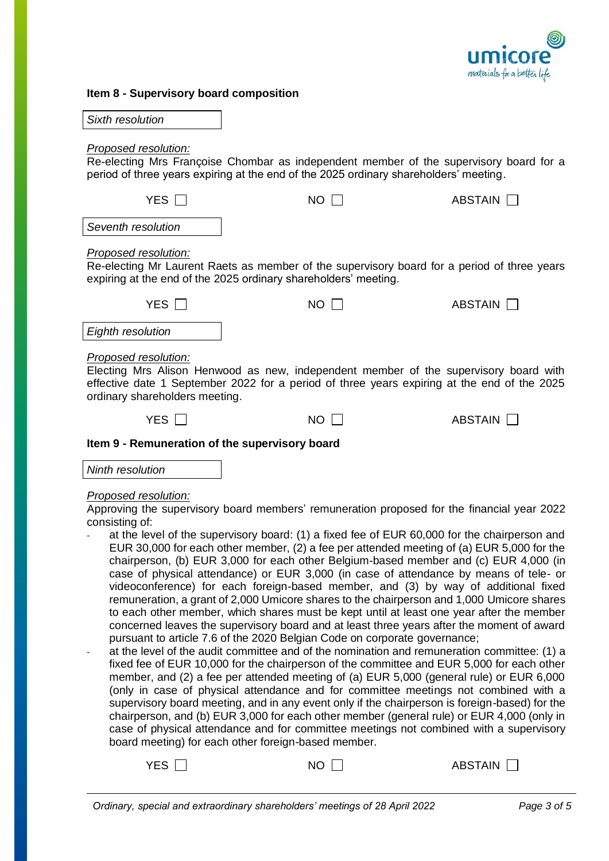

| Item 8 - Supervisory board composition |  |  |
|----------------------------------------|--|--|
|----------------------------------------|--|--|

| Sixth resolution |
|------------------|
|------------------|

### *Proposed resolution:*

Re-electing Mrs Françoise Chombar as independent member of the supervisory board for a period of three years expiring at the end of the 2025 ordinary shareholders' meeting.

| <b>YES</b>                                                                                                                                                                                                                                    | NΟ                                                                                                                                                             | ABSTAIN        |  |
|-----------------------------------------------------------------------------------------------------------------------------------------------------------------------------------------------------------------------------------------------|----------------------------------------------------------------------------------------------------------------------------------------------------------------|----------------|--|
| Seventh resolution                                                                                                                                                                                                                            |                                                                                                                                                                |                |  |
| Proposed resolution:                                                                                                                                                                                                                          | Re-electing Mr Laurent Raets as member of the supervisory board for a period of three years<br>expiring at the end of the 2025 ordinary shareholders' meeting. |                |  |
| YES $\Box$                                                                                                                                                                                                                                    | NO.                                                                                                                                                            | ABSTAIN        |  |
| Eighth resolution                                                                                                                                                                                                                             |                                                                                                                                                                |                |  |
| Proposed resolution:<br>Electing Mrs Alison Henwood as new, independent member of the supervisory board with<br>effective date 1 September 2022 for a period of three years expiring at the end of the 2025<br>ordinary shareholders meeting. |                                                                                                                                                                |                |  |
| YES.                                                                                                                                                                                                                                          | NΟ                                                                                                                                                             | <b>ABSTAIN</b> |  |

## **Item 9 - Remuneration of the supervisory board**

*Ninth resolution*

#### *Proposed resolution:*

Approving the supervisory board members' remuneration proposed for the financial year 2022 consisting of:

- at the level of the supervisory board: (1) a fixed fee of EUR 60,000 for the chairperson and EUR 30,000 for each other member, (2) a fee per attended meeting of (a) EUR 5,000 for the chairperson, (b) EUR 3,000 for each other Belgium-based member and (c) EUR 4,000 (in case of physical attendance) or EUR 3,000 (in case of attendance by means of tele- or videoconference) for each foreign-based member, and (3) by way of additional fixed remuneration, a grant of 2,000 Umicore shares to the chairperson and 1,000 Umicore shares to each other member, which shares must be kept until at least one year after the member concerned leaves the supervisory board and at least three years after the moment of award pursuant to article 7.6 of the 2020 Belgian Code on corporate governance;
- at the level of the audit committee and of the nomination and remuneration committee: (1) a fixed fee of EUR 10,000 for the chairperson of the committee and EUR 5,000 for each other member, and (2) a fee per attended meeting of (a) EUR 5,000 (general rule) or EUR 6,000 (only in case of physical attendance and for committee meetings not combined with a supervisory board meeting, and in any event only if the chairperson is foreign-based) for the chairperson, and (b) EUR 3,000 for each other member (general rule) or EUR 4,000 (only in case of physical attendance and for committee meetings not combined with a supervisory board meeting) for each other foreign-based member.

| YES [ | $NO$ $[$ | ABSTAIN □ |
|-------|----------|-----------|
|       |          |           |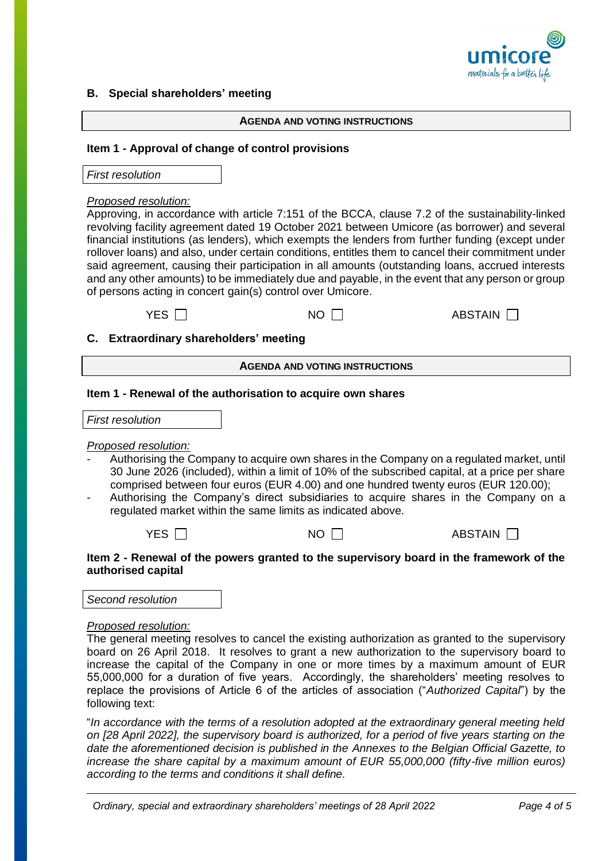

## **B. Special shareholders' meeting**

#### **AGENDA AND VOTING INSTRUCTIONS**

#### **Item 1 - Approval of change of control provisions**

*First resolution*

#### *Proposed resolution:*

Approving, in accordance with article 7:151 of the BCCA, clause 7.2 of the sustainability-linked revolving facility agreement dated 19 October 2021 between Umicore (as borrower) and several financial institutions (as lenders), which exempts the lenders from further funding (except under rollover loans) and also, under certain conditions, entitles them to cancel their commitment under said agreement, causing their participation in all amounts (outstanding loans, accrued interests and any other amounts) to be immediately due and payable, in the event that any person or group of persons acting in concert gain(s) control over Umicore.

| YES $\Box$ | <b>NO</b> | ABSTAIN $\square$ |
|------------|-----------|-------------------|
|------------|-----------|-------------------|

|  |  | C. Extraordinary shareholders' meeting |  |
|--|--|----------------------------------------|--|
|--|--|----------------------------------------|--|

#### **AGENDA AND VOTING INSTRUCTIONS**

#### **Item 1 - Renewal of the authorisation to acquire own shares**

| <b>First resolution</b> |  |
|-------------------------|--|
|-------------------------|--|

## *Proposed resolution:*

- Authorising the Company to acquire own shares in the Company on a regulated market, until 30 June 2026 (included), within a limit of 10% of the subscribed capital, at a price per share comprised between four euros (EUR 4.00) and one hundred twenty euros (EUR 120.00);
- Authorising the Company's direct subsidiaries to acquire shares in the Company on a regulated market within the same limits as indicated above.



## **Item 2 - Renewal of the powers granted to the supervisory board in the framework of the authorised capital**

*Second resolution*

## *Proposed resolution:*

The general meeting resolves to cancel the existing authorization as granted to the supervisory board on 26 April 2018. It resolves to grant a new authorization to the supervisory board to increase the capital of the Company in one or more times by a maximum amount of EUR 55,000,000 for a duration of five years. Accordingly, the shareholders' meeting resolves to replace the provisions of Article 6 of the articles of association ("*Authorized Capital*") by the following text:

"*In accordance with the terms of a resolution adopted at the extraordinary general meeting held on [28 April 2022], the supervisory board is authorized, for a period of five years starting on the date the aforementioned decision is published in the Annexes to the Belgian Official Gazette, to increase the share capital by a maximum amount of EUR 55,000,000 (fifty-five million euros) according to the terms and conditions it shall define.*